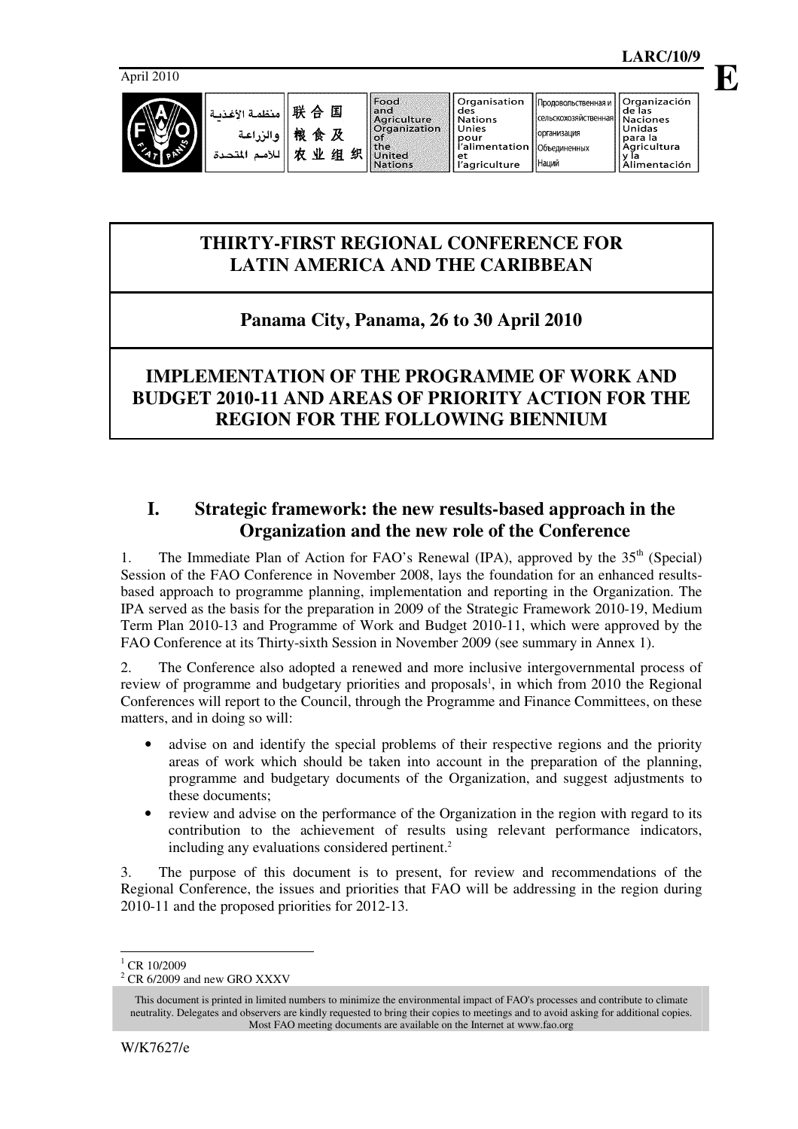

организация

Наций

Объединенных

# **THIRTY-FIRST REGIONAL CONFERENCE FOR LATIN AMERICA AND THE CARIBBEAN**

# **Panama City, Panama, 26 to 30 April 2010**

# **IMPLEMENTATION OF THE PROGRAMME OF WORK AND BUDGET 2010-11 AND AREAS OF PRIORITY ACTION FOR THE REGION FOR THE FOLLOWING BIENNIUM**

# **I. Strategic framework: the new results-based approach in the Organization and the new role of the Conference**

1. The Immediate Plan of Action for FAO's Renewal (IPA), approved by the  $35<sup>th</sup>$  (Special) Session of the FAO Conference in November 2008, lays the foundation for an enhanced resultsbased approach to programme planning, implementation and reporting in the Organization. The IPA served as the basis for the preparation in 2009 of the Strategic Framework 2010-19, Medium Term Plan 2010-13 and Programme of Work and Budget 2010-11, which were approved by the FAO Conference at its Thirty-sixth Session in November 2009 (see summary in Annex 1).

2. The Conference also adopted a renewed and more inclusive intergovernmental process of review of programme and budgetary priorities and proposals<sup>1</sup>, in which from 2010 the Regional Conferences will report to the Council, through the Programme and Finance Committees, on these matters, and in doing so will:

- advise on and identify the special problems of their respective regions and the priority areas of work which should be taken into account in the preparation of the planning, programme and budgetary documents of the Organization, and suggest adjustments to these documents;
- review and advise on the performance of the Organization in the region with regard to its contribution to the achievement of results using relevant performance indicators, including any evaluations considered pertinent.<sup>2</sup>

3. The purpose of this document is to present, for review and recommendations of the Regional Conference, the issues and priorities that FAO will be addressing in the region during 2010-11 and the proposed priorities for 2012-13.

 $^{1}$  CR 10/2009

L

 $2$  CR 6/2009 and new GRO XXXV

This document is printed in limited numbers to minimize the environmental impact of FAO's processes and contribute to climate neutrality. Delegates and observers are kindly requested to bring their copies to meetings and to avoid asking for additional copies. Most FAO meeting documents are available on the Internet at www.fao.org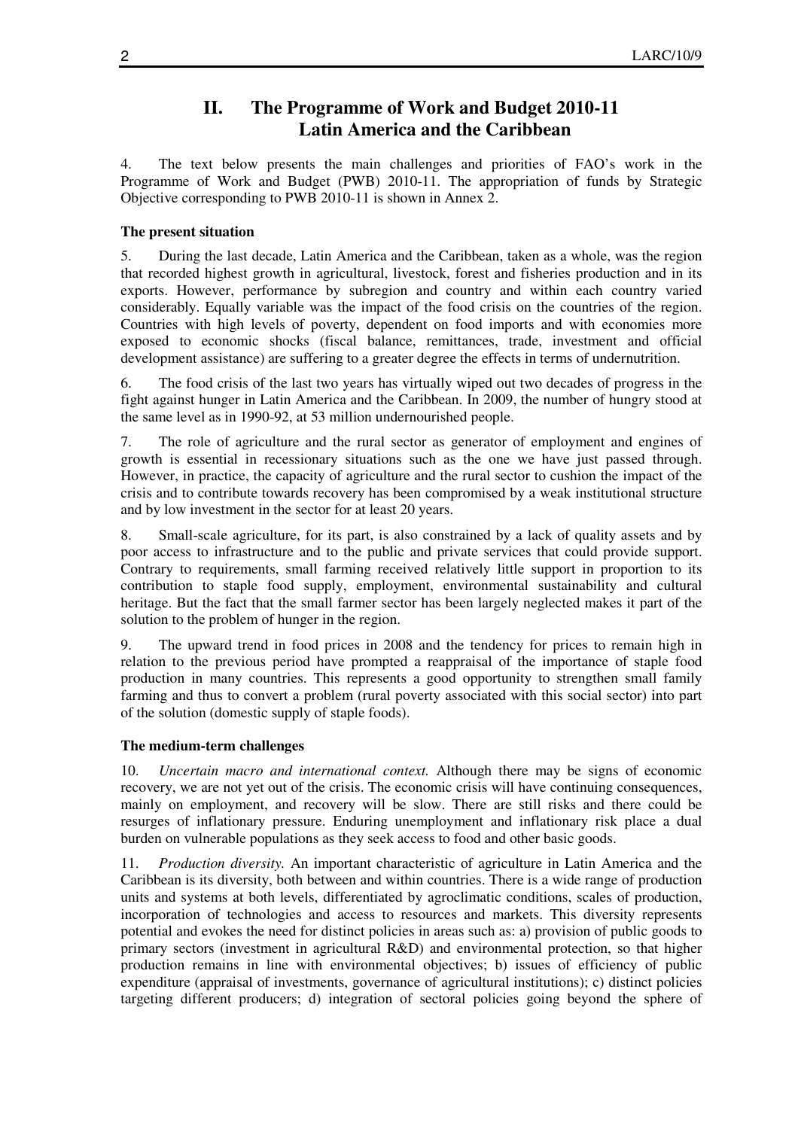# **II. The Programme of Work and Budget 2010-11 Latin America and the Caribbean**

4. The text below presents the main challenges and priorities of FAO's work in the Programme of Work and Budget (PWB) 2010-11. The appropriation of funds by Strategic Objective corresponding to PWB 2010-11 is shown in Annex 2.

### **The present situation**

5. During the last decade, Latin America and the Caribbean, taken as a whole, was the region that recorded highest growth in agricultural, livestock, forest and fisheries production and in its exports. However, performance by subregion and country and within each country varied considerably. Equally variable was the impact of the food crisis on the countries of the region. Countries with high levels of poverty, dependent on food imports and with economies more exposed to economic shocks (fiscal balance, remittances, trade, investment and official development assistance) are suffering to a greater degree the effects in terms of undernutrition.

6. The food crisis of the last two years has virtually wiped out two decades of progress in the fight against hunger in Latin America and the Caribbean. In 2009, the number of hungry stood at the same level as in 1990-92, at 53 million undernourished people.

7. The role of agriculture and the rural sector as generator of employment and engines of growth is essential in recessionary situations such as the one we have just passed through. However, in practice, the capacity of agriculture and the rural sector to cushion the impact of the crisis and to contribute towards recovery has been compromised by a weak institutional structure and by low investment in the sector for at least 20 years.

8. Small-scale agriculture, for its part, is also constrained by a lack of quality assets and by poor access to infrastructure and to the public and private services that could provide support. Contrary to requirements, small farming received relatively little support in proportion to its contribution to staple food supply, employment, environmental sustainability and cultural heritage. But the fact that the small farmer sector has been largely neglected makes it part of the solution to the problem of hunger in the region.

9. The upward trend in food prices in 2008 and the tendency for prices to remain high in relation to the previous period have prompted a reappraisal of the importance of staple food production in many countries. This represents a good opportunity to strengthen small family farming and thus to convert a problem (rural poverty associated with this social sector) into part of the solution (domestic supply of staple foods).

## **The medium-term challenges**

10. *Uncertain macro and international context.* Although there may be signs of economic recovery, we are not yet out of the crisis. The economic crisis will have continuing consequences, mainly on employment, and recovery will be slow. There are still risks and there could be resurges of inflationary pressure. Enduring unemployment and inflationary risk place a dual burden on vulnerable populations as they seek access to food and other basic goods.

11. *Production diversity.* An important characteristic of agriculture in Latin America and the Caribbean is its diversity, both between and within countries. There is a wide range of production units and systems at both levels, differentiated by agroclimatic conditions, scales of production, incorporation of technologies and access to resources and markets. This diversity represents potential and evokes the need for distinct policies in areas such as: a) provision of public goods to primary sectors (investment in agricultural R&D) and environmental protection, so that higher production remains in line with environmental objectives; b) issues of efficiency of public expenditure (appraisal of investments, governance of agricultural institutions); c) distinct policies targeting different producers; d) integration of sectoral policies going beyond the sphere of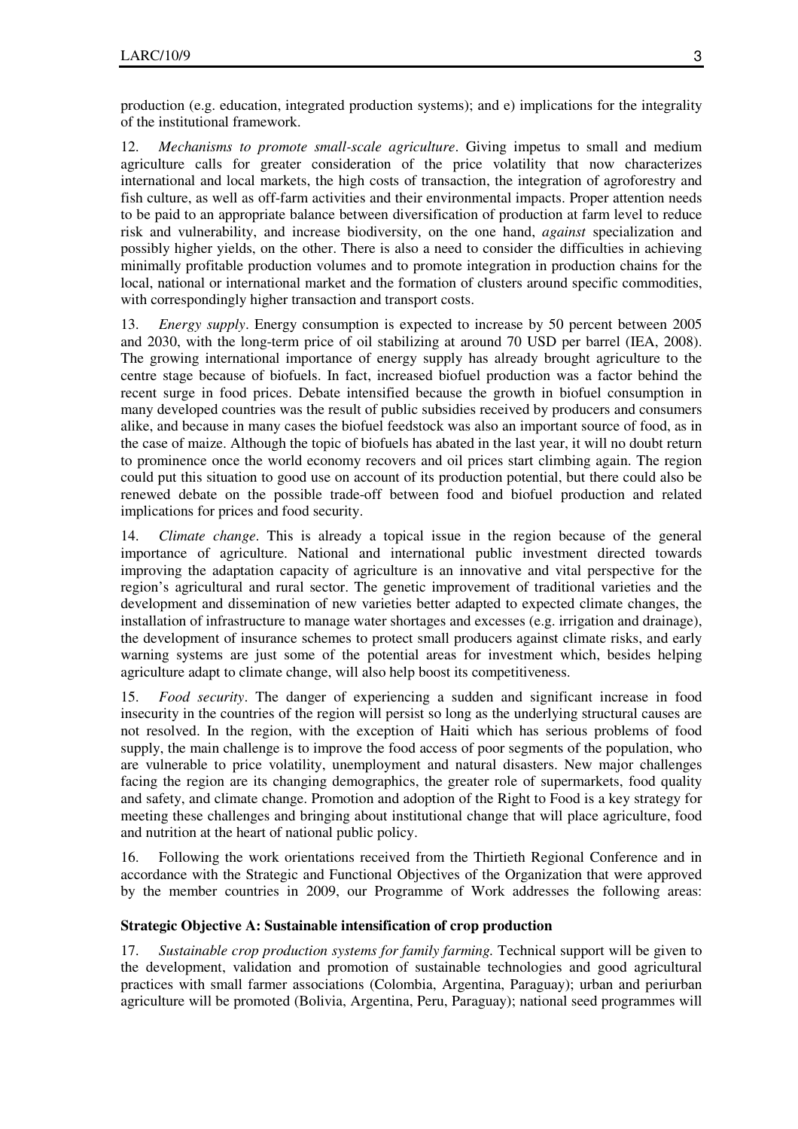production (e.g. education, integrated production systems); and e) implications for the integrality of the institutional framework.

*Mechanisms to promote small-scale agriculture*. Giving impetus to small and medium agriculture calls for greater consideration of the price volatility that now characterizes international and local markets, the high costs of transaction, the integration of agroforestry and fish culture, as well as off-farm activities and their environmental impacts. Proper attention needs to be paid to an appropriate balance between diversification of production at farm level to reduce risk and vulnerability, and increase biodiversity, on the one hand, *against* specialization and possibly higher yields, on the other. There is also a need to consider the difficulties in achieving minimally profitable production volumes and to promote integration in production chains for the local, national or international market and the formation of clusters around specific commodities, with correspondingly higher transaction and transport costs.

13. *Energy supply*. Energy consumption is expected to increase by 50 percent between 2005 and 2030, with the long-term price of oil stabilizing at around 70 USD per barrel (IEA, 2008). The growing international importance of energy supply has already brought agriculture to the centre stage because of biofuels. In fact, increased biofuel production was a factor behind the recent surge in food prices. Debate intensified because the growth in biofuel consumption in many developed countries was the result of public subsidies received by producers and consumers alike, and because in many cases the biofuel feedstock was also an important source of food, as in the case of maize. Although the topic of biofuels has abated in the last year, it will no doubt return to prominence once the world economy recovers and oil prices start climbing again. The region could put this situation to good use on account of its production potential, but there could also be renewed debate on the possible trade-off between food and biofuel production and related implications for prices and food security.

14. *Climate change*. This is already a topical issue in the region because of the general importance of agriculture. National and international public investment directed towards improving the adaptation capacity of agriculture is an innovative and vital perspective for the region's agricultural and rural sector. The genetic improvement of traditional varieties and the development and dissemination of new varieties better adapted to expected climate changes, the installation of infrastructure to manage water shortages and excesses (e.g. irrigation and drainage), the development of insurance schemes to protect small producers against climate risks, and early warning systems are just some of the potential areas for investment which, besides helping agriculture adapt to climate change, will also help boost its competitiveness.

15. *Food security*. The danger of experiencing a sudden and significant increase in food insecurity in the countries of the region will persist so long as the underlying structural causes are not resolved. In the region, with the exception of Haiti which has serious problems of food supply, the main challenge is to improve the food access of poor segments of the population, who are vulnerable to price volatility, unemployment and natural disasters. New major challenges facing the region are its changing demographics, the greater role of supermarkets, food quality and safety, and climate change. Promotion and adoption of the Right to Food is a key strategy for meeting these challenges and bringing about institutional change that will place agriculture, food and nutrition at the heart of national public policy.

16. Following the work orientations received from the Thirtieth Regional Conference and in accordance with the Strategic and Functional Objectives of the Organization that were approved by the member countries in 2009, our Programme of Work addresses the following areas:

## **Strategic Objective A: Sustainable intensification of crop production**

17. *Sustainable crop production systems for family farming.* Technical support will be given to the development, validation and promotion of sustainable technologies and good agricultural practices with small farmer associations (Colombia, Argentina, Paraguay); urban and periurban agriculture will be promoted (Bolivia, Argentina, Peru, Paraguay); national seed programmes will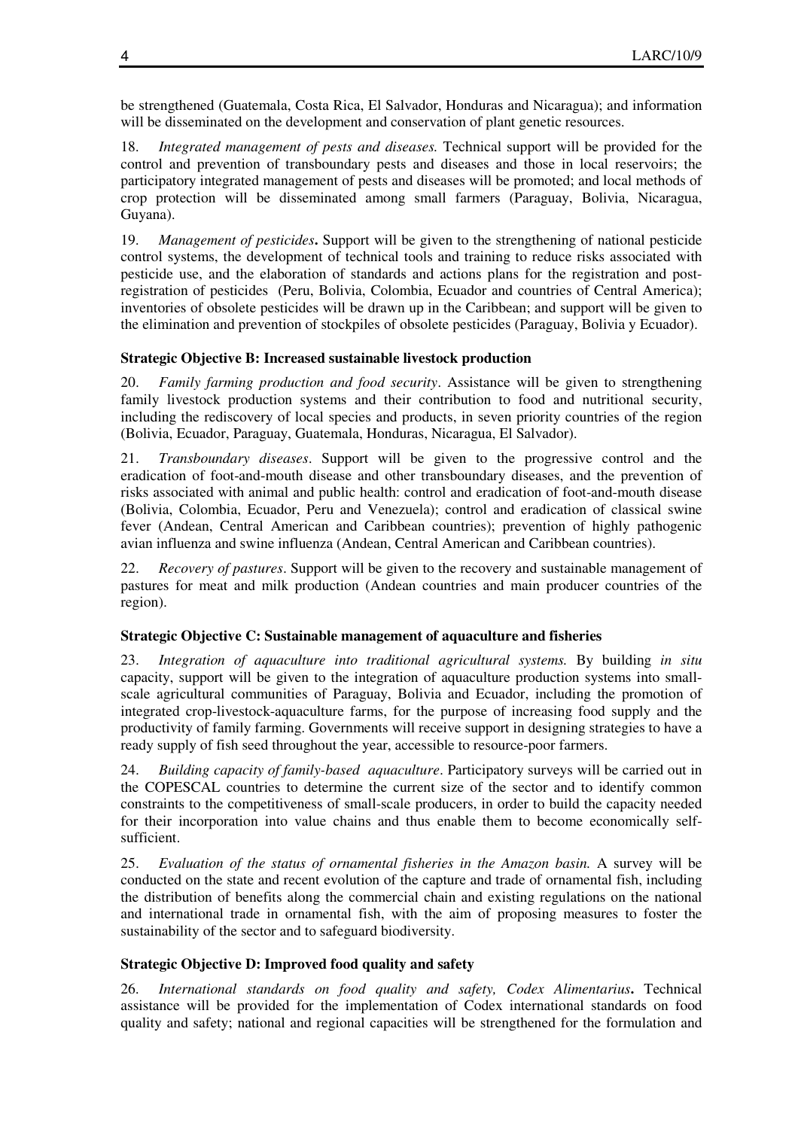be strengthened (Guatemala, Costa Rica, El Salvador, Honduras and Nicaragua); and information will be disseminated on the development and conservation of plant genetic resources.

18. *Integrated management of pests and diseases.* Technical support will be provided for the control and prevention of transboundary pests and diseases and those in local reservoirs; the participatory integrated management of pests and diseases will be promoted; and local methods of crop protection will be disseminated among small farmers (Paraguay, Bolivia, Nicaragua, Guyana).

19. *Management of pesticides***.** Support will be given to the strengthening of national pesticide control systems, the development of technical tools and training to reduce risks associated with pesticide use, and the elaboration of standards and actions plans for the registration and postregistration of pesticides (Peru, Bolivia, Colombia, Ecuador and countries of Central America); inventories of obsolete pesticides will be drawn up in the Caribbean; and support will be given to the elimination and prevention of stockpiles of obsolete pesticides (Paraguay, Bolivia y Ecuador).

## **Strategic Objective B: Increased sustainable livestock production**

20. *Family farming production and food security*. Assistance will be given to strengthening family livestock production systems and their contribution to food and nutritional security, including the rediscovery of local species and products, in seven priority countries of the region (Bolivia, Ecuador, Paraguay, Guatemala, Honduras, Nicaragua, El Salvador).

21. *Transboundary diseases*. Support will be given to the progressive control and the eradication of foot-and-mouth disease and other transboundary diseases, and the prevention of risks associated with animal and public health: control and eradication of foot-and-mouth disease (Bolivia, Colombia, Ecuador, Peru and Venezuela); control and eradication of classical swine fever (Andean, Central American and Caribbean countries); prevention of highly pathogenic avian influenza and swine influenza (Andean, Central American and Caribbean countries).

22. *Recovery of pastures*. Support will be given to the recovery and sustainable management of pastures for meat and milk production (Andean countries and main producer countries of the region).

## **Strategic Objective C: Sustainable management of aquaculture and fisheries**

23. *Integration of aquaculture into traditional agricultural systems.* By building *in situ* capacity, support will be given to the integration of aquaculture production systems into smallscale agricultural communities of Paraguay, Bolivia and Ecuador, including the promotion of integrated crop-livestock-aquaculture farms, for the purpose of increasing food supply and the productivity of family farming. Governments will receive support in designing strategies to have a ready supply of fish seed throughout the year, accessible to resource-poor farmers.

24. *Building capacity of family-based aquaculture*. Participatory surveys will be carried out in the COPESCAL countries to determine the current size of the sector and to identify common constraints to the competitiveness of small-scale producers, in order to build the capacity needed for their incorporation into value chains and thus enable them to become economically selfsufficient.

25. *Evaluation of the status of ornamental fisheries in the Amazon basin.* A survey will be conducted on the state and recent evolution of the capture and trade of ornamental fish, including the distribution of benefits along the commercial chain and existing regulations on the national and international trade in ornamental fish, with the aim of proposing measures to foster the sustainability of the sector and to safeguard biodiversity.

## **Strategic Objective D: Improved food quality and safety**

26. *International standards on food quality and safety, Codex Alimentarius***.** Technical assistance will be provided for the implementation of Codex international standards on food quality and safety; national and regional capacities will be strengthened for the formulation and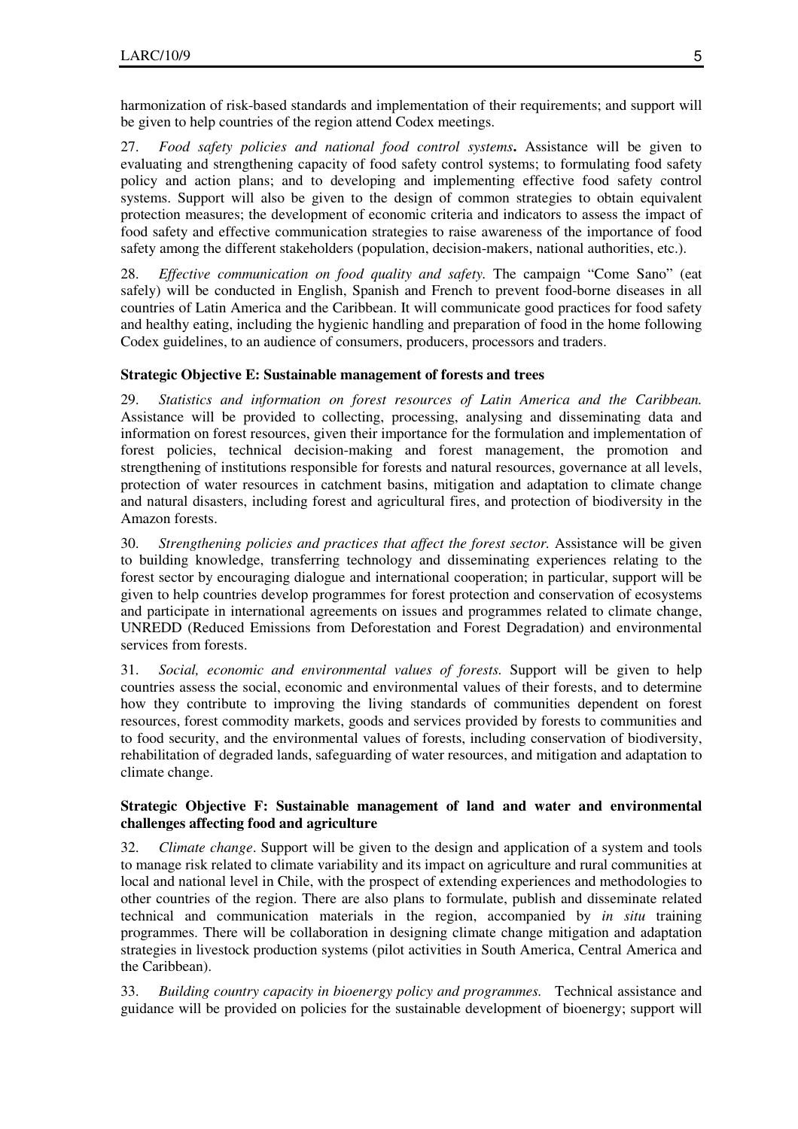harmonization of risk-based standards and implementation of their requirements; and support will be given to help countries of the region attend Codex meetings.

27. *Food safety policies and national food control systems***.** Assistance will be given to evaluating and strengthening capacity of food safety control systems; to formulating food safety policy and action plans; and to developing and implementing effective food safety control systems. Support will also be given to the design of common strategies to obtain equivalent protection measures; the development of economic criteria and indicators to assess the impact of food safety and effective communication strategies to raise awareness of the importance of food safety among the different stakeholders (population, decision-makers, national authorities, etc.).

28. *Effective communication on food quality and safety.* The campaign "Come Sano" (eat safely) will be conducted in English, Spanish and French to prevent food-borne diseases in all countries of Latin America and the Caribbean. It will communicate good practices for food safety and healthy eating, including the hygienic handling and preparation of food in the home following Codex guidelines, to an audience of consumers, producers, processors and traders.

# **Strategic Objective E: Sustainable management of forests and trees**

29. *Statistics and information on forest resources of Latin America and the Caribbean.* Assistance will be provided to collecting, processing, analysing and disseminating data and information on forest resources, given their importance for the formulation and implementation of forest policies, technical decision-making and forest management, the promotion and strengthening of institutions responsible for forests and natural resources, governance at all levels, protection of water resources in catchment basins, mitigation and adaptation to climate change and natural disasters, including forest and agricultural fires, and protection of biodiversity in the Amazon forests.

30. *Strengthening policies and practices that affect the forest sector.* Assistance will be given to building knowledge, transferring technology and disseminating experiences relating to the forest sector by encouraging dialogue and international cooperation; in particular, support will be given to help countries develop programmes for forest protection and conservation of ecosystems and participate in international agreements on issues and programmes related to climate change, UNREDD (Reduced Emissions from Deforestation and Forest Degradation) and environmental services from forests.

31. *Social, economic and environmental values of forests.* Support will be given to help countries assess the social, economic and environmental values of their forests, and to determine how they contribute to improving the living standards of communities dependent on forest resources, forest commodity markets, goods and services provided by forests to communities and to food security, and the environmental values of forests, including conservation of biodiversity, rehabilitation of degraded lands, safeguarding of water resources, and mitigation and adaptation to climate change.

# **Strategic Objective F: Sustainable management of land and water and environmental challenges affecting food and agriculture**

32. *Climate change*. Support will be given to the design and application of a system and tools to manage risk related to climate variability and its impact on agriculture and rural communities at local and national level in Chile, with the prospect of extending experiences and methodologies to other countries of the region. There are also plans to formulate, publish and disseminate related technical and communication materials in the region, accompanied by *in situ* training programmes. There will be collaboration in designing climate change mitigation and adaptation strategies in livestock production systems (pilot activities in South America, Central America and the Caribbean).

33. *Building country capacity in bioenergy policy and programmes.* Technical assistance and guidance will be provided on policies for the sustainable development of bioenergy; support will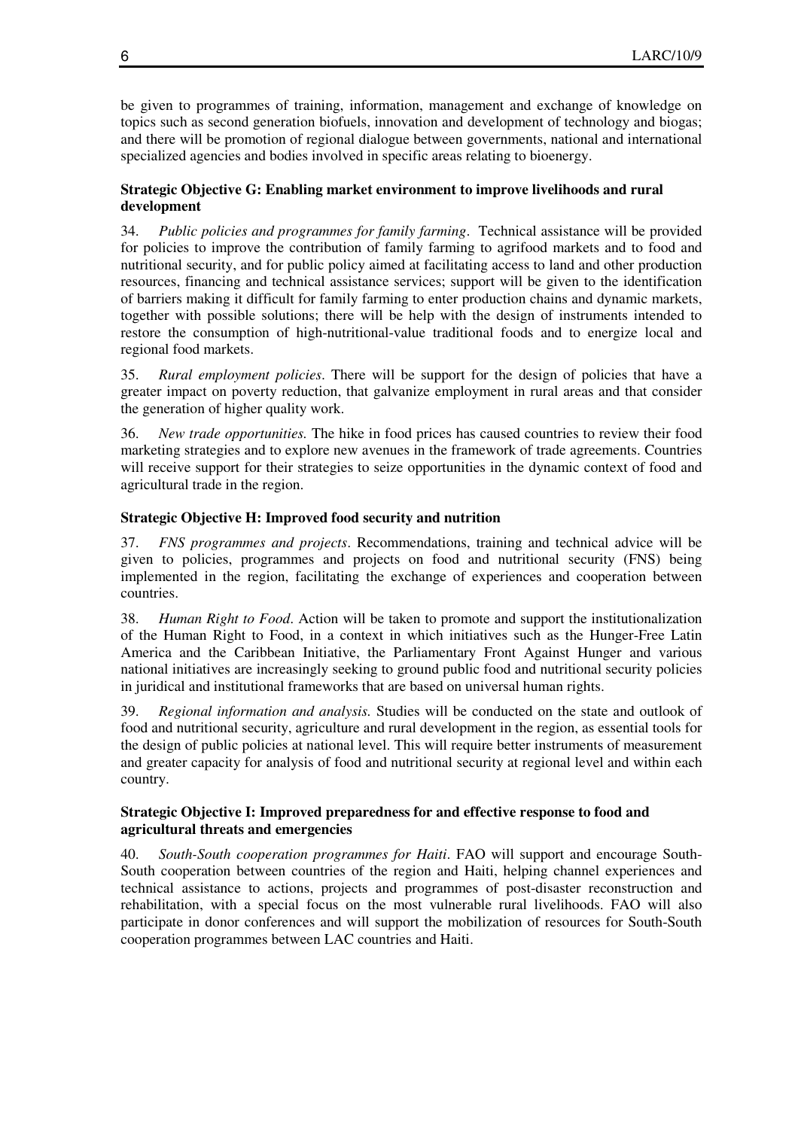be given to programmes of training, information, management and exchange of knowledge on topics such as second generation biofuels, innovation and development of technology and biogas; and there will be promotion of regional dialogue between governments, national and international specialized agencies and bodies involved in specific areas relating to bioenergy.

# **Strategic Objective G: Enabling market environment to improve livelihoods and rural development**

34. *Public policies and programmes for family farming*. Technical assistance will be provided for policies to improve the contribution of family farming to agrifood markets and to food and nutritional security, and for public policy aimed at facilitating access to land and other production resources, financing and technical assistance services; support will be given to the identification of barriers making it difficult for family farming to enter production chains and dynamic markets, together with possible solutions; there will be help with the design of instruments intended to restore the consumption of high-nutritional-value traditional foods and to energize local and regional food markets.

35. *Rural employment policies*. There will be support for the design of policies that have a greater impact on poverty reduction, that galvanize employment in rural areas and that consider the generation of higher quality work.

36. *New trade opportunities.* The hike in food prices has caused countries to review their food marketing strategies and to explore new avenues in the framework of trade agreements. Countries will receive support for their strategies to seize opportunities in the dynamic context of food and agricultural trade in the region.

# **Strategic Objective H: Improved food security and nutrition**

37. *FNS programmes and projects*. Recommendations, training and technical advice will be given to policies, programmes and projects on food and nutritional security (FNS) being implemented in the region, facilitating the exchange of experiences and cooperation between countries.

38. *Human Right to Food*. Action will be taken to promote and support the institutionalization of the Human Right to Food, in a context in which initiatives such as the Hunger-Free Latin America and the Caribbean Initiative, the Parliamentary Front Against Hunger and various national initiatives are increasingly seeking to ground public food and nutritional security policies in juridical and institutional frameworks that are based on universal human rights.

39. *Regional information and analysis.* Studies will be conducted on the state and outlook of food and nutritional security, agriculture and rural development in the region, as essential tools for the design of public policies at national level. This will require better instruments of measurement and greater capacity for analysis of food and nutritional security at regional level and within each country.

# **Strategic Objective I: Improved preparedness for and effective response to food and agricultural threats and emergencies**

40. *South-South cooperation programmes for Haiti*. FAO will support and encourage South-South cooperation between countries of the region and Haiti, helping channel experiences and technical assistance to actions, projects and programmes of post-disaster reconstruction and rehabilitation, with a special focus on the most vulnerable rural livelihoods. FAO will also participate in donor conferences and will support the mobilization of resources for South-South cooperation programmes between LAC countries and Haiti.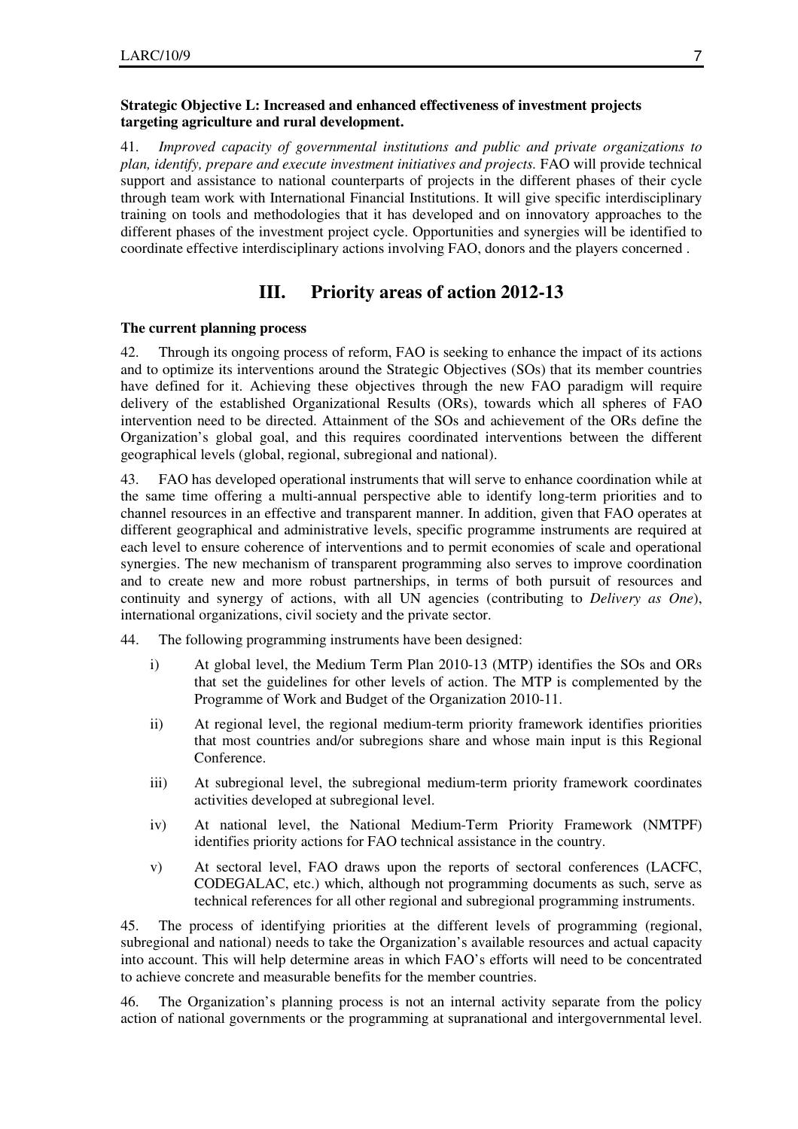#### **Strategic Objective L: Increased and enhanced effectiveness of investment projects targeting agriculture and rural development.**

41. *Improved capacity of governmental institutions and public and private organizations to plan, identify, prepare and execute investment initiatives and projects.* FAO will provide technical support and assistance to national counterparts of projects in the different phases of their cycle through team work with International Financial Institutions. It will give specific interdisciplinary training on tools and methodologies that it has developed and on innovatory approaches to the different phases of the investment project cycle. Opportunities and synergies will be identified to coordinate effective interdisciplinary actions involving FAO, donors and the players concerned .

# **III. Priority areas of action 2012-13**

#### **The current planning process**

42. Through its ongoing process of reform, FAO is seeking to enhance the impact of its actions and to optimize its interventions around the Strategic Objectives (SOs) that its member countries have defined for it. Achieving these objectives through the new FAO paradigm will require delivery of the established Organizational Results (ORs), towards which all spheres of FAO intervention need to be directed. Attainment of the SOs and achievement of the ORs define the Organization's global goal, and this requires coordinated interventions between the different geographical levels (global, regional, subregional and national).

43. FAO has developed operational instruments that will serve to enhance coordination while at the same time offering a multi-annual perspective able to identify long-term priorities and to channel resources in an effective and transparent manner. In addition, given that FAO operates at different geographical and administrative levels, specific programme instruments are required at each level to ensure coherence of interventions and to permit economies of scale and operational synergies. The new mechanism of transparent programming also serves to improve coordination and to create new and more robust partnerships, in terms of both pursuit of resources and continuity and synergy of actions, with all UN agencies (contributing to *Delivery as One*), international organizations, civil society and the private sector.

- 44. The following programming instruments have been designed:
	- i) At global level, the Medium Term Plan 2010-13 (MTP) identifies the SOs and ORs that set the guidelines for other levels of action. The MTP is complemented by the Programme of Work and Budget of the Organization 2010-11.
	- ii) At regional level, the regional medium-term priority framework identifies priorities that most countries and/or subregions share and whose main input is this Regional Conference.
	- iii) At subregional level, the subregional medium-term priority framework coordinates activities developed at subregional level.
	- iv) At national level, the National Medium-Term Priority Framework (NMTPF) identifies priority actions for FAO technical assistance in the country.
	- v) At sectoral level, FAO draws upon the reports of sectoral conferences (LACFC, CODEGALAC, etc.) which, although not programming documents as such, serve as technical references for all other regional and subregional programming instruments.

45. The process of identifying priorities at the different levels of programming (regional, subregional and national) needs to take the Organization's available resources and actual capacity into account. This will help determine areas in which FAO's efforts will need to be concentrated to achieve concrete and measurable benefits for the member countries.

46. The Organization's planning process is not an internal activity separate from the policy action of national governments or the programming at supranational and intergovernmental level.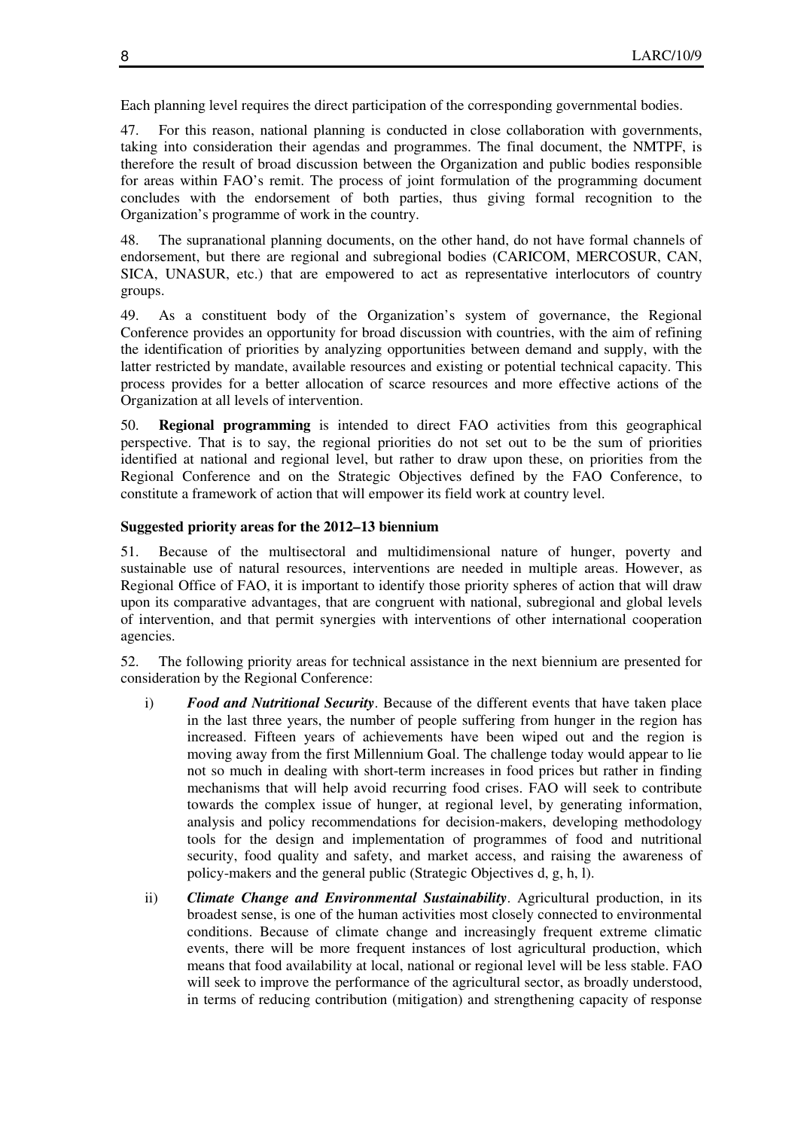Each planning level requires the direct participation of the corresponding governmental bodies.

47. For this reason, national planning is conducted in close collaboration with governments, taking into consideration their agendas and programmes. The final document, the NMTPF, is therefore the result of broad discussion between the Organization and public bodies responsible for areas within FAO's remit. The process of joint formulation of the programming document concludes with the endorsement of both parties, thus giving formal recognition to the Organization's programme of work in the country.

48. The supranational planning documents, on the other hand, do not have formal channels of endorsement, but there are regional and subregional bodies (CARICOM, MERCOSUR, CAN, SICA, UNASUR, etc.) that are empowered to act as representative interlocutors of country groups.

49. As a constituent body of the Organization's system of governance, the Regional Conference provides an opportunity for broad discussion with countries, with the aim of refining the identification of priorities by analyzing opportunities between demand and supply, with the latter restricted by mandate, available resources and existing or potential technical capacity. This process provides for a better allocation of scarce resources and more effective actions of the Organization at all levels of intervention.

50. **Regional programming** is intended to direct FAO activities from this geographical perspective. That is to say, the regional priorities do not set out to be the sum of priorities identified at national and regional level, but rather to draw upon these, on priorities from the Regional Conference and on the Strategic Objectives defined by the FAO Conference, to constitute a framework of action that will empower its field work at country level.

#### **Suggested priority areas for the 2012–13 biennium**

51. Because of the multisectoral and multidimensional nature of hunger, poverty and sustainable use of natural resources, interventions are needed in multiple areas. However, as Regional Office of FAO, it is important to identify those priority spheres of action that will draw upon its comparative advantages, that are congruent with national, subregional and global levels of intervention, and that permit synergies with interventions of other international cooperation agencies.

52. The following priority areas for technical assistance in the next biennium are presented for consideration by the Regional Conference:

- i) *Food and Nutritional Security*. Because of the different events that have taken place in the last three years, the number of people suffering from hunger in the region has increased. Fifteen years of achievements have been wiped out and the region is moving away from the first Millennium Goal. The challenge today would appear to lie not so much in dealing with short-term increases in food prices but rather in finding mechanisms that will help avoid recurring food crises. FAO will seek to contribute towards the complex issue of hunger, at regional level, by generating information, analysis and policy recommendations for decision-makers, developing methodology tools for the design and implementation of programmes of food and nutritional security, food quality and safety, and market access, and raising the awareness of policy-makers and the general public (Strategic Objectives d, g, h, l).
- ii) *Climate Change and Environmental Sustainability*. Agricultural production, in its broadest sense, is one of the human activities most closely connected to environmental conditions. Because of climate change and increasingly frequent extreme climatic events, there will be more frequent instances of lost agricultural production, which means that food availability at local, national or regional level will be less stable. FAO will seek to improve the performance of the agricultural sector, as broadly understood, in terms of reducing contribution (mitigation) and strengthening capacity of response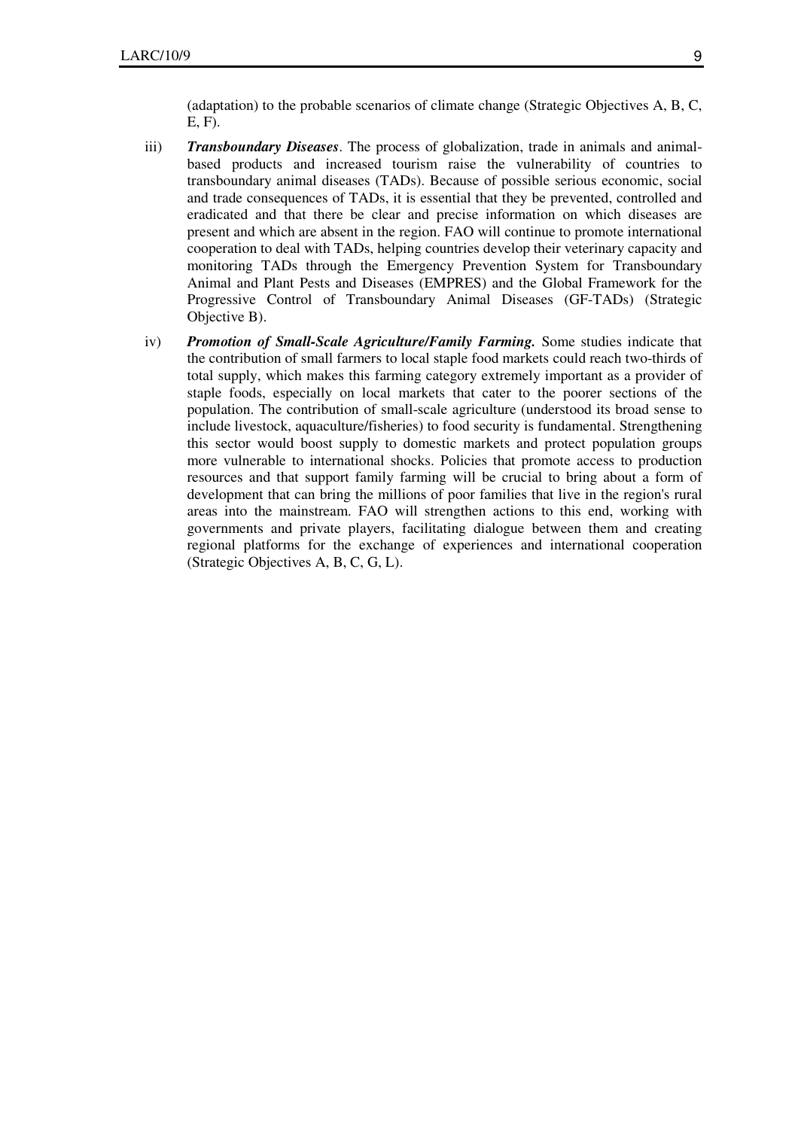(adaptation) to the probable scenarios of climate change (Strategic Objectives A, B, C, E, F).

- iii) *Transboundary Diseases*. The process of globalization, trade in animals and animalbased products and increased tourism raise the vulnerability of countries to transboundary animal diseases (TADs). Because of possible serious economic, social and trade consequences of TADs, it is essential that they be prevented, controlled and eradicated and that there be clear and precise information on which diseases are present and which are absent in the region. FAO will continue to promote international cooperation to deal with TADs, helping countries develop their veterinary capacity and monitoring TADs through the Emergency Prevention System for Transboundary Animal and Plant Pests and Diseases (EMPRES) and the Global Framework for the Progressive Control of Transboundary Animal Diseases (GF-TADs) (Strategic Objective B).
- iv) *Promotion of Small-Scale Agriculture/Family Farming.* Some studies indicate that the contribution of small farmers to local staple food markets could reach two-thirds of total supply, which makes this farming category extremely important as a provider of staple foods, especially on local markets that cater to the poorer sections of the population. The contribution of small-scale agriculture (understood its broad sense to include livestock, aquaculture/fisheries) to food security is fundamental. Strengthening this sector would boost supply to domestic markets and protect population groups more vulnerable to international shocks. Policies that promote access to production resources and that support family farming will be crucial to bring about a form of development that can bring the millions of poor families that live in the region's rural areas into the mainstream. FAO will strengthen actions to this end, working with governments and private players, facilitating dialogue between them and creating regional platforms for the exchange of experiences and international cooperation (Strategic Objectives A, B, C, G, L).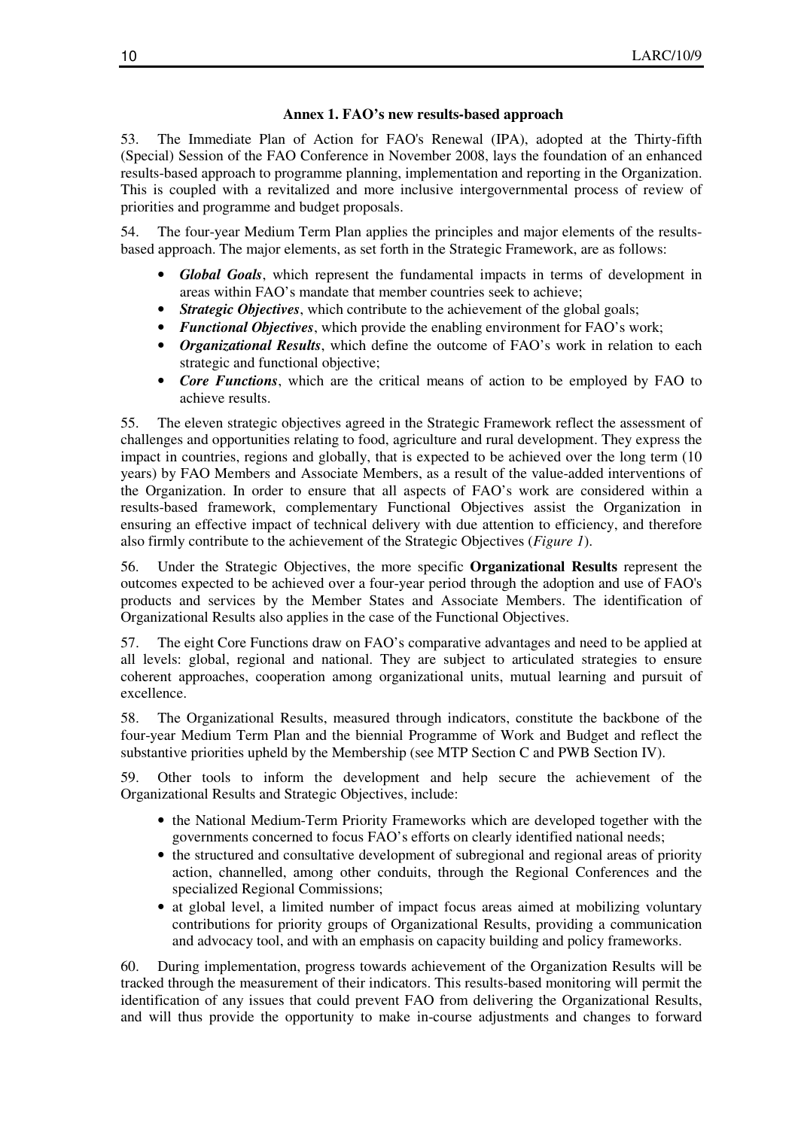#### **Annex 1. FAO's new results-based approach**

53. The Immediate Plan of Action for FAO's Renewal (IPA), adopted at the Thirty-fifth (Special) Session of the FAO Conference in November 2008, lays the foundation of an enhanced results-based approach to programme planning, implementation and reporting in the Organization. This is coupled with a revitalized and more inclusive intergovernmental process of review of priorities and programme and budget proposals.

54. The four-year Medium Term Plan applies the principles and major elements of the resultsbased approach. The major elements, as set forth in the Strategic Framework, are as follows:

- *Global Goals*, which represent the fundamental impacts in terms of development in areas within FAO's mandate that member countries seek to achieve;
- *Strategic Objectives*, which contribute to the achievement of the global goals;
- *Functional Objectives*, which provide the enabling environment for FAO's work;
- *Organizational Results*, which define the outcome of FAO's work in relation to each strategic and functional objective;
- *Core Functions*, which are the critical means of action to be employed by FAO to achieve results.

55. The eleven strategic objectives agreed in the Strategic Framework reflect the assessment of challenges and opportunities relating to food, agriculture and rural development. They express the impact in countries, regions and globally, that is expected to be achieved over the long term (10 years) by FAO Members and Associate Members, as a result of the value-added interventions of the Organization. In order to ensure that all aspects of FAO's work are considered within a results-based framework, complementary Functional Objectives assist the Organization in ensuring an effective impact of technical delivery with due attention to efficiency, and therefore also firmly contribute to the achievement of the Strategic Objectives (*Figure 1*).

56. Under the Strategic Objectives, the more specific **Organizational Results** represent the outcomes expected to be achieved over a four-year period through the adoption and use of FAO's products and services by the Member States and Associate Members. The identification of Organizational Results also applies in the case of the Functional Objectives.

57. The eight Core Functions draw on FAO's comparative advantages and need to be applied at all levels: global, regional and national. They are subject to articulated strategies to ensure coherent approaches, cooperation among organizational units, mutual learning and pursuit of excellence.

58. The Organizational Results, measured through indicators, constitute the backbone of the four-year Medium Term Plan and the biennial Programme of Work and Budget and reflect the substantive priorities upheld by the Membership (see MTP Section C and PWB Section IV).

59. Other tools to inform the development and help secure the achievement of the Organizational Results and Strategic Objectives, include:

- the National Medium-Term Priority Frameworks which are developed together with the governments concerned to focus FAO's efforts on clearly identified national needs;
- the structured and consultative development of subregional and regional areas of priority action, channelled, among other conduits, through the Regional Conferences and the specialized Regional Commissions;
- at global level, a limited number of impact focus areas aimed at mobilizing voluntary contributions for priority groups of Organizational Results, providing a communication and advocacy tool, and with an emphasis on capacity building and policy frameworks.

60. During implementation, progress towards achievement of the Organization Results will be tracked through the measurement of their indicators. This results-based monitoring will permit the identification of any issues that could prevent FAO from delivering the Organizational Results, and will thus provide the opportunity to make in-course adjustments and changes to forward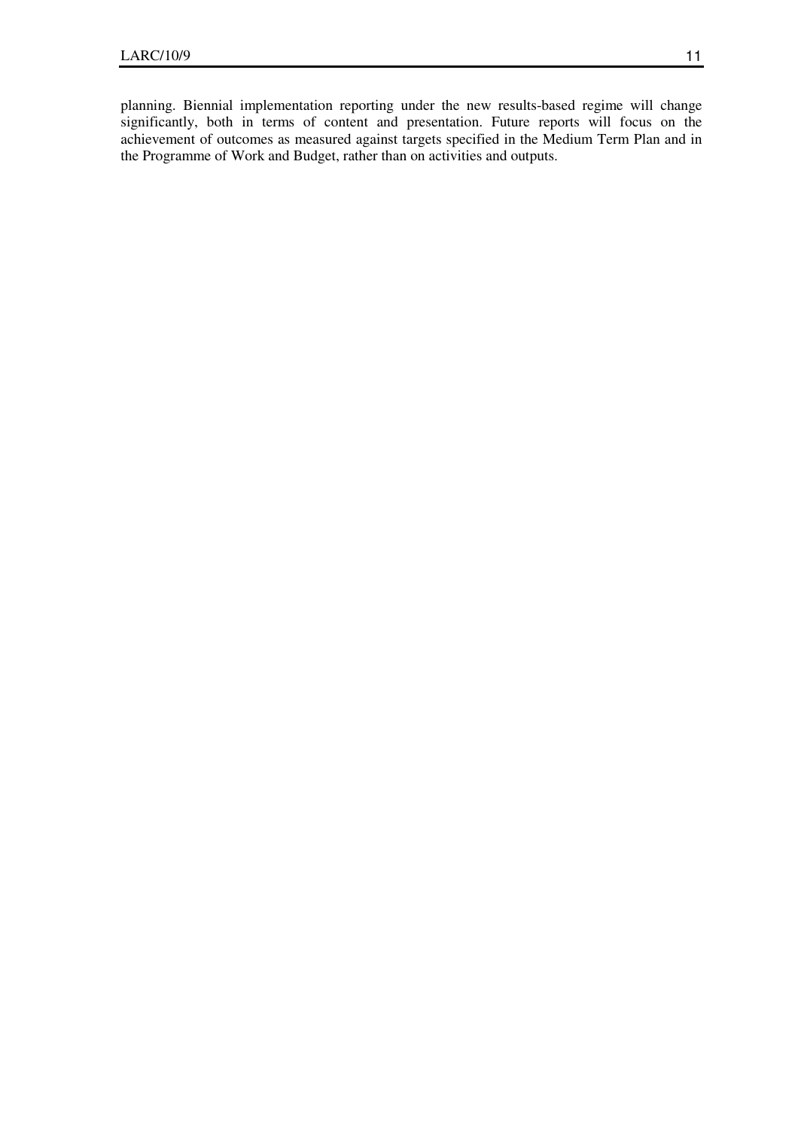planning. Biennial implementation reporting under the new results-based regime will change significantly, both in terms of content and presentation. Future reports will focus on the achievement of outcomes as measured against targets specified in the Medium Term Plan and in the Programme of Work and Budget, rather than on activities and outputs.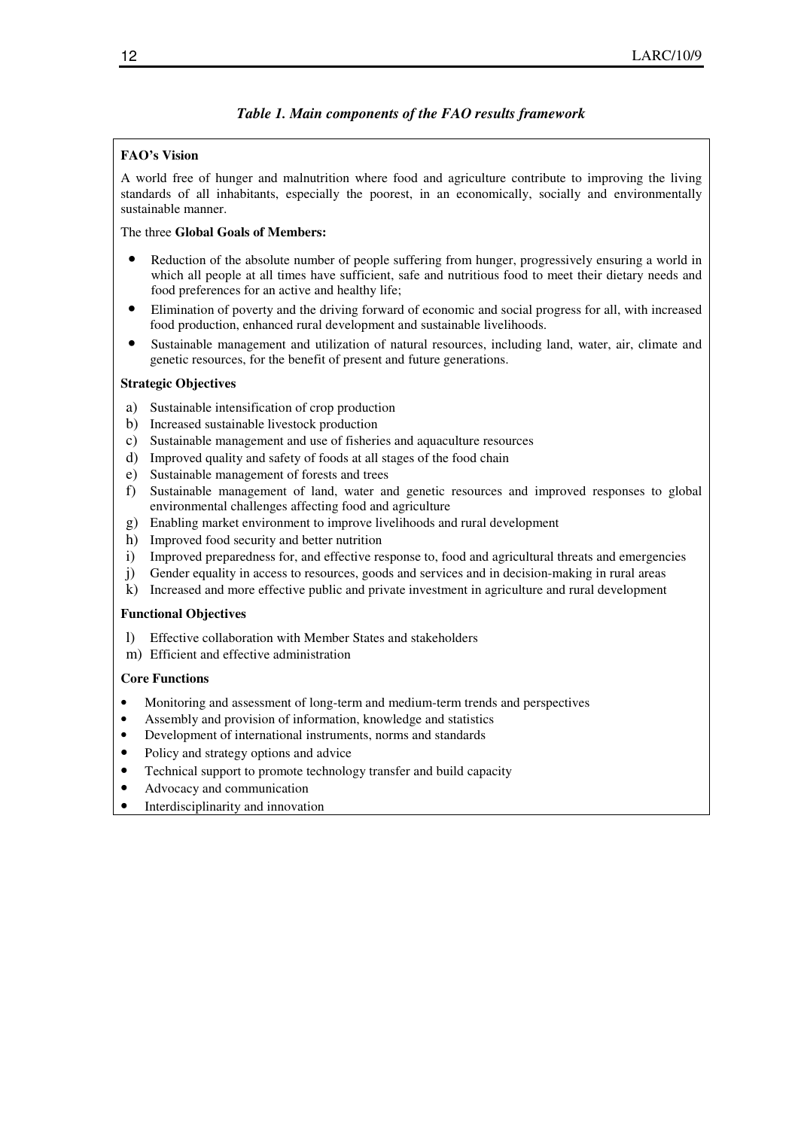## *Table 1. Main components of the FAO results framework*

## **FAO's Vision**

A world free of hunger and malnutrition where food and agriculture contribute to improving the living standards of all inhabitants, especially the poorest, in an economically, socially and environmentally sustainable manner.

#### The three **Global Goals of Members:**

- Reduction of the absolute number of people suffering from hunger, progressively ensuring a world in which all people at all times have sufficient, safe and nutritious food to meet their dietary needs and food preferences for an active and healthy life;
- Elimination of poverty and the driving forward of economic and social progress for all, with increased food production, enhanced rural development and sustainable livelihoods.
- Sustainable management and utilization of natural resources, including land, water, air, climate and genetic resources, for the benefit of present and future generations.

#### **Strategic Objectives**

- a) Sustainable intensification of crop production
- b) Increased sustainable livestock production
- c) Sustainable management and use of fisheries and aquaculture resources
- d) Improved quality and safety of foods at all stages of the food chain
- e) Sustainable management of forests and trees
- f) Sustainable management of land, water and genetic resources and improved responses to global environmental challenges affecting food and agriculture
- g) Enabling market environment to improve livelihoods and rural development
- h) Improved food security and better nutrition
- i) Improved preparedness for, and effective response to, food and agricultural threats and emergencies
- j) Gender equality in access to resources, goods and services and in decision-making in rural areas
- k) Increased and more effective public and private investment in agriculture and rural development

#### **Functional Objectives**

- l) Effective collaboration with Member States and stakeholders
- m) Efficient and effective administration

## **Core Functions**

- Monitoring and assessment of long-term and medium-term trends and perspectives
- Assembly and provision of information, knowledge and statistics
- Development of international instruments, norms and standards
- Policy and strategy options and advice
- Technical support to promote technology transfer and build capacity
- Advocacy and communication
- Interdisciplinarity and innovation